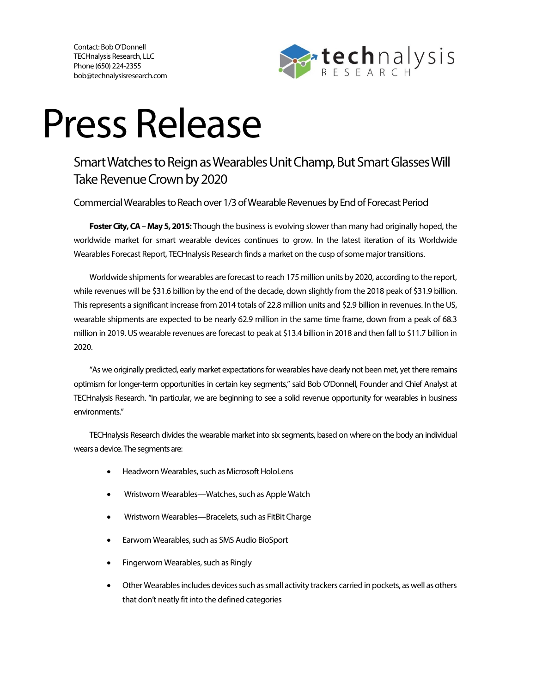Contact: Bob O'Donnell TECHnalysis Research, LLC Phone (650) 224-2355 bob@technalysisresearch.com



## Press Release

## Smart Watches to Reign as Wearables Unit Champ, But Smart Glasses Will Take Revenue Crown by 2020

Commercial Wearables to Reach over 1/3 of Wearable Revenues by End of Forecast Period

**Foster City, CA – May 5, 2015:** Though the business is evolving slower than many had originally hoped, the worldwide market for smart wearable devices continues to grow. In the latest iteration of its Worldwide Wearables Forecast Report, TECHnalysis Research finds a market on the cusp of some major transitions.

Worldwide shipments for wearables are forecast to reach 175 million units by 2020, according to the report, while revenues will be \$31.6 billion by the end of the decade, down slightly from the 2018 peak of \$31.9 billion. This represents a significant increase from 2014 totals of 22.8 million units and \$2.9 billion in revenues. In the US, wearable shipments are expected to be nearly 62.9 million in the same time frame, down from a peak of 68.3 million in 2019. US wearable revenues are forecast to peak at \$13.4 billion in 2018 and then fall to \$11.7 billion in 2020.

"As we originally predicted, early market expectations for wearables have clearly not been met, yet there remains optimism for longer-term opportunities in certain key segments," said Bob O'Donnell, Founder and Chief Analyst at TECHnalysis Research. "In particular, we are beginning to see a solid revenue opportunity for wearables in business environments."

TECHnalysis Research divides the wearable market into six segments, based on where on the body an individual wears a device. The segments are:

- Headworn Wearables, such as Microsoft HoloLens
- Wristworn Wearables—Watches, such as Apple Watch
- Wristworn Wearables—Bracelets, such as FitBit Charge
- Earworn Wearables, such as SMS Audio BioSport
- Fingerworn Wearables, such as Ringly
- Other Wearables includes devices such as small activity trackers carried in pockets, as well as others that don't neatly fit into the defined categories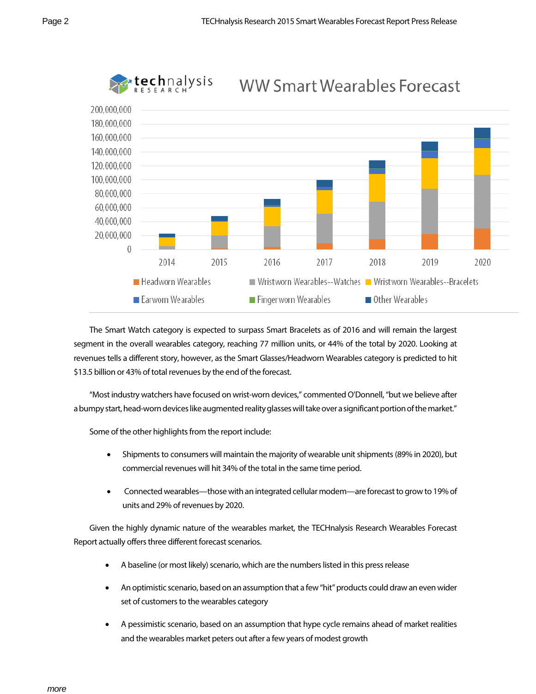

The Smart Watch category is expected to surpass Smart Bracelets as of 2016 and will remain the largest segment in the overall wearables category, reaching 77 million units, or 44% of the total by 2020. Looking at revenues tells a different story, however, as the Smart Glasses/Headworn Wearables category is predicted to hit \$13.5 billion or 43% of total revenues by the end of the forecast.

"Most industry watchers have focused on wrist-worn devices," commented O'Donnell, "but we believe after a bumpy start, head-worn devices like augmented reality glasses will take over a significant portion of the market."

Some of the other highlights from the report include:

- Shipments to consumers will maintain the majority of wearable unit shipments (89% in 2020), but commercial revenues will hit 34% of the total in the same time period.
- Connected wearables—those with an integrated cellular modem—are forecast to grow to 19% of units and 29% of revenues by 2020.

Given the highly dynamic nature of the wearables market, the TECHnalysis Research Wearables Forecast Report actually offers three different forecast scenarios.

- A baseline (or most likely) scenario, which are the numbers listed in this press release
- An optimistic scenario, based on an assumption that a few"hit" products could drawan even wider set of customers to the wearables category
- A pessimistic scenario, based on an assumption that hype cycle remains ahead of market realities and the wearables market peters out after a few years of modest growth